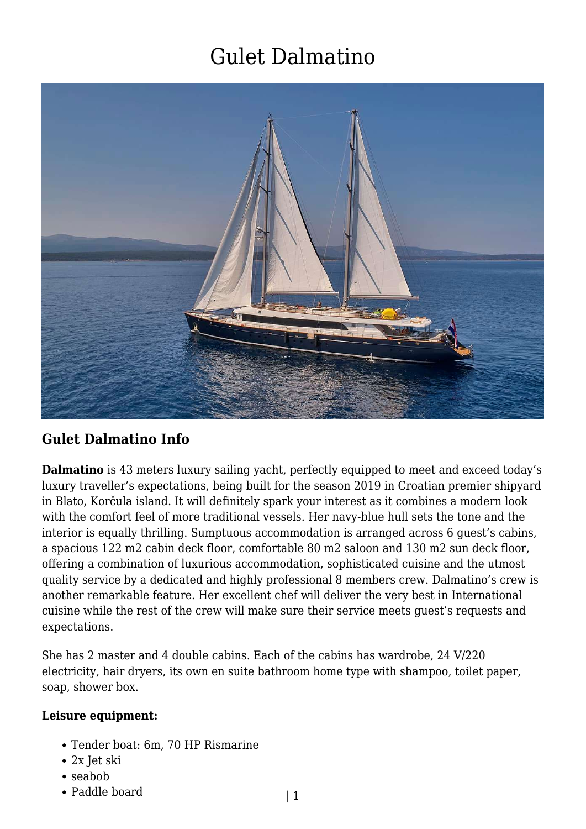

#### **Gulet Dalmatino Info**

**Dalmatino** is 43 meters luxury sailing yacht, perfectly equipped to meet and exceed today's luxury traveller's expectations, being built for the season 2019 in Croatian premier shipyard in Blato, Korčula island. It will definitely spark your interest as it combines a modern look with the comfort feel of more traditional vessels. Her navy-blue hull sets the tone and the interior is equally thrilling. Sumptuous accommodation is arranged across 6 guest's cabins, a spacious 122 m2 cabin deck floor, comfortable 80 m2 saloon and 130 m2 sun deck floor, offering a combination of luxurious accommodation, sophisticated cuisine and the utmost quality service by a dedicated and highly professional 8 members crew. Dalmatino's crew is another remarkable feature. Her excellent chef will deliver the very best in International cuisine while the rest of the crew will make sure their service meets guest's requests and expectations.

She has 2 master and 4 double cabins. Each of the cabins has wardrobe, 24 V/220 electricity, hair dryers, its own en suite bathroom home type with shampoo, toilet paper, soap, shower box.

#### **Leisure equipment:**

- Tender boat: 6m, 70 HP Rismarine
- 2x Jet ski
- seabob
- Paddle board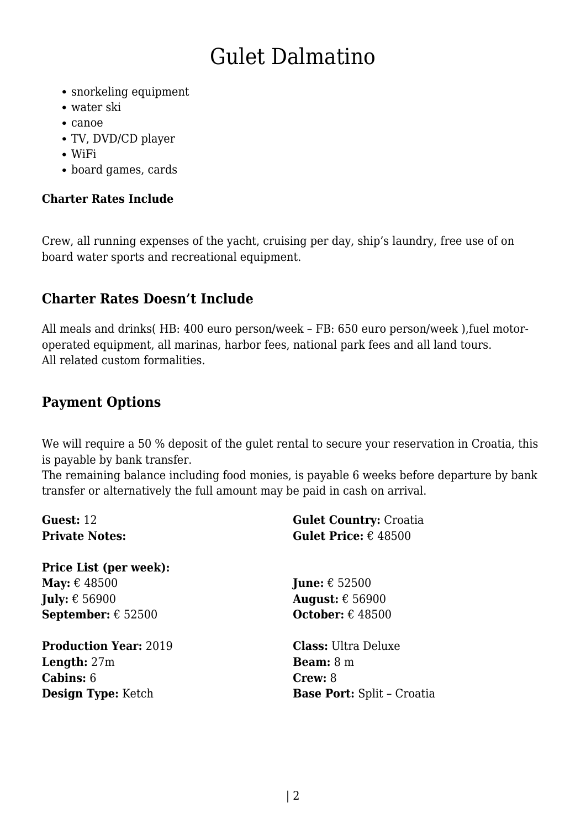- snorkeling equipment
- water ski
- canoe
- TV, DVD/CD player
- WiFi
- board games, cards

#### **Charter Rates Include**

Crew, all running expenses of the yacht, cruising per day, ship's laundry, free use of on board water sports and recreational equipment.

### **Charter Rates Doesn't Include**

All meals and drinks( HB: 400 euro person/week – FB: 650 euro person/week ),fuel motoroperated equipment, all marinas, harbor fees, national park fees and all land tours. All related custom formalities.

### **Payment Options**

We will require a 50 % deposit of the gulet rental to secure your reservation in Croatia, this is payable by bank transfer.

The remaining balance including food monies, is payable 6 weeks before departure by bank transfer or alternatively the full amount may be paid in cash on arrival.

| Guest: 12                          | <b>Gulet Country: Croatia</b>        |
|------------------------------------|--------------------------------------|
| <b>Private Notes:</b>              | <b>Gulet Price:</b> $\epsilon$ 48500 |
| <b>Price List (per week):</b>      |                                      |
| May: $\epsilon$ 48500              | <b>June:</b> $\epsilon$ 52500        |
| <b>July:</b> $\epsilon$ 56900      | August: $\epsilon$ 56900             |
| <b>September:</b> $\epsilon$ 52500 | <b>October:</b> $\epsilon$ 48500     |
| <b>Production Year: 2019</b>       | <b>Class: Ultra Deluxe</b>           |
| <b>Length:</b> $27m$               | <b>Beam:</b> $8 \text{ m}$           |
| <b>Cabins:</b> 6                   | Crew: 8                              |
| Design Type: Ketch                 | <b>Base Port:</b> Split - Croatia    |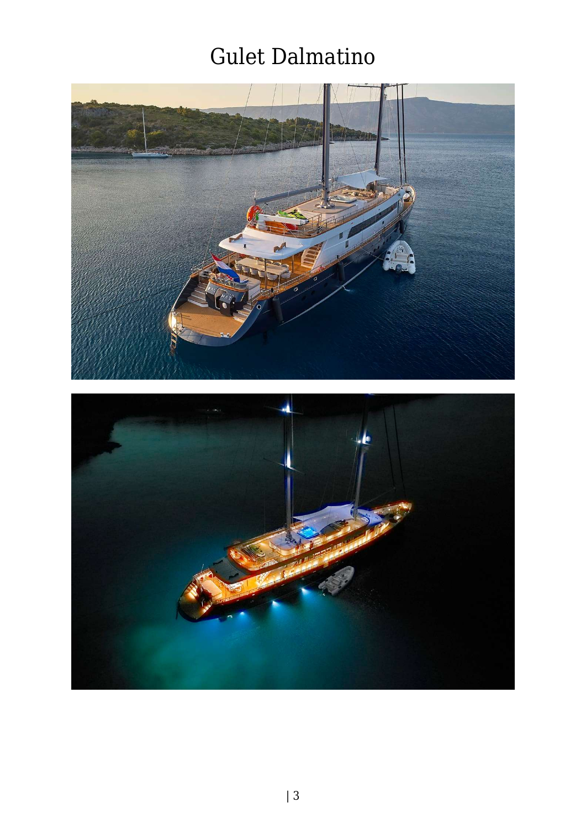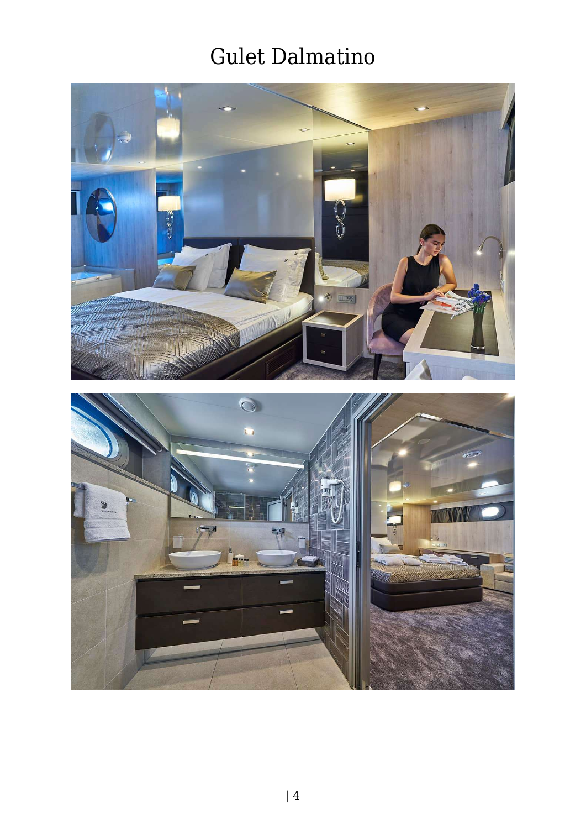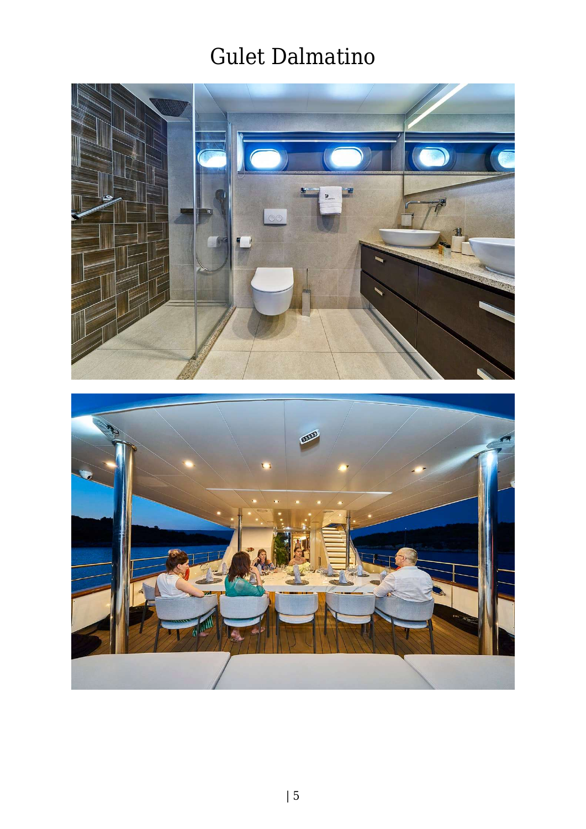